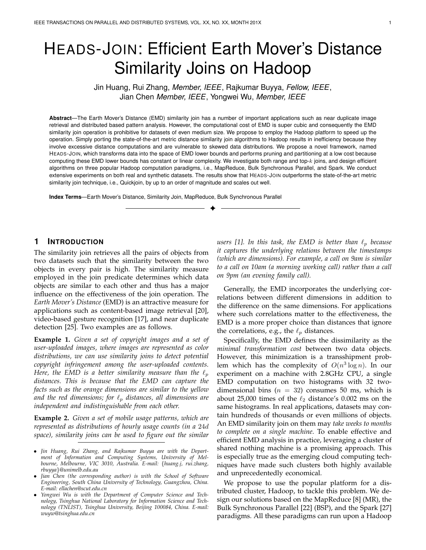# HEADS-JOIN: Efficient Earth Mover's Distance Similarity Joins on Hadoop

Jin Huang, Rui Zhang, *Member, IEEE*, Rajkumar Buyya, *Fellow, IEEE*, Jian Chen *Member, IEEE*, Yongwei Wu, *Member, IEEE*

**Abstract**—The Earth Mover's Distance (EMD) similarity join has a number of important applications such as near duplicate image retrieval and distributed based pattern analysis. However, the computational cost of EMD is super cubic and consequently the EMD similarity join operation is prohibitive for datasets of even medium size. We propose to employ the Hadoop platform to speed up the operation. Simply porting the state-of-the-art metric distance similarity join algorithms to Hadoop results in inefficiency because they involve excessive distance computations and are vulnerable to skewed data distributions. We propose a novel framework, named HEADS-JOIN, which transforms data into the space of EMD lower bounds and performs pruning and partitioning at a low cost because computing these EMD lower bounds has constant or linear complexity. We investigate both range and top-*k* joins, and design efficient algorithms on three popular Hadoop computation paradigms, i.e., MapReduce, Bulk Synchronous Parallel, and Spark. We conduct extensive experiments on both real and synthetic datasets. The results show that HEADS-JOIN outperforms the state-of-the-art metric similarity join technique, i.e., Quickjoin, by up to an order of magnitude and scales out well.

✦

**Index Terms**—Earth Mover's Distance, Similarity Join, MapReduce, Bulk Synchronous Parallel

# **1 INTRODUCTION**

The similarity join retrieves all the pairs of objects from two datasets such that the similarity between the two objects in every pair is high. The similarity measure employed in the join predicate determines which data objects are similar to each other and thus has a major influence on the effectiveness of the join operation. The *Earth Mover's Distance* (EMD) is an attractive measure for applications such as content-based image retrieval [20], video-based gesture recognition [17], and near duplicate detection [25]. Two examples are as follows.

**Example 1.** *Given a set of copyright images and a set of user-uploaded images, where images are represented as color distributions, we can use similarity joins to detect potential copyright infringement among the user-uploaded contents. Here, the EMD is a better similarity measure than the ℓ<sup>p</sup> distances. This is because that the EMD can capture the facts such as the orange dimensions are similar to the yellow and the red dimensions; for ℓ<sup>p</sup> distances, all dimensions are independent and indistinguishable from each other.*

**Example 2.** *Given a set of mobile usage patterns, which are represented as distributions of hourly usage counts (in a* 24*d space), similarity joins can be used to figure out the similar* *users [1]. In this task, the EMD is better than ℓ<sup>p</sup> because it captures the underlying relations between the timestamps (which are dimensions). For example, a call on 9am is similar to a call on 10am (a morning working call) rather than a call on 9pm (an evening family call).*

Generally, the EMD incorporates the underlying correlations between different dimensions in addition to the difference on the same dimensions. For applications where such correlations matter to the effectiveness, the EMD is a more proper choice than distances that ignore the correlations, e.g., the *ℓ<sup>p</sup>* distances.

Specifically, the EMD defines the dissimilarity as the *minimal transformation cost* between two data objects. However, this minimization is a transshipment problem which has the complexity of  $O(n^3 \log n)$ . In our experiment on a machine with 2.8GHz CPU, a single EMD computation on two histograms with 32 twodimensional bins  $(n = 32)$  consumes 50 ms, which is about 25,000 times of the *ℓ*<sup>2</sup> distance's 0.002 ms on the same histograms. In real applications, datasets may contain hundreds of thousands or even millions of objects. An EMD similarity join on them may *take weeks to months to complete on a single machine*. To enable effective and efficient EMD analysis in practice, leveraging a cluster of shared nothing machine is a promising approach. This is especially true as the emerging cloud computing techniques have made such clusters both highly available and unprecedentedly economical.

We propose to use the popular platform for a distributed cluster, Hadoop, to tackle this problem. We design our solutions based on the MapReduce [8] (MR), the Bulk Synchronous Parallel [22] (BSP), and the Spark [27] paradigms. All these paradigms can run upon a Hadoop

*<sup>•</sup> Jin Huang, Rui Zhang, and Rajkumar Buyya are with the Department of Information and Computing Systems, University of Melbourne, Melbourne, VIC 3010, Australia. E-mail: {huang.j, rui.zhang, rbuyya}@unimelb.edu.au*

*<sup>•</sup> Jian Chen (the corresponding author) is with the School of Software Engineering, South China University of Technology, Guangzhou, China. E-mail: ellachen@scut.edu.cn*

*<sup>•</sup> Yongwei Wu is with the Department of Computer Science and Technology, Tsinghua National Laboratory for Information Science and Technology (TNLIST), Tsinghua University, Beijing 100084, China. E-mail: wuyw@tsinghua.edu.cn*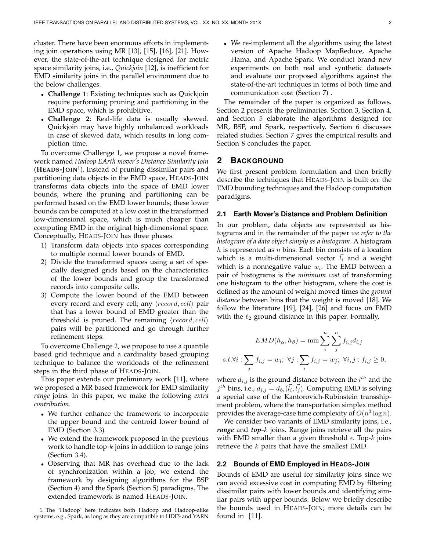cluster. There have been enormous efforts in implementing join operations using MR [13], [15], [16], [21]. However, the state-of-the-art technique designed for metric space similarity joins, i.e., *Quickjoin* [12], is inefficient for EMD similarity joins in the parallel environment due to the below challenges.

- *•* **Challenge 1**: Existing techniques such as Quickjoin require performing pruning and partitioning in the EMD space, which is prohibitive.
- *•* **Challenge 2**: Real-life data is usually skewed. Quickjoin may have highly unbalanced workloads in case of skewed data, which results in long completion time.

To overcome Challenge 1, we propose a novel framework named *Hadoop EArth mover's Distance Similarity Join* (**HEADS-JOIN**<sup>1</sup> ). Instead of pruning dissimilar pairs and partitioning data objects in the EMD space, HEADS-JOIN transforms data objects into the space of EMD lower bounds, where the pruning and partitioning can be performed based on the EMD lower bounds; these lower bounds can be computed at a low cost in the transformed low-dimensional space, which is much cheaper than computing EMD in the original high-dimensional space. Conceptually, HEADS-JOIN has three phases.

- 1) Transform data objects into spaces corresponding to multiple normal lower bounds of EMD.
- 2) Divide the transformed spaces using a set of specially designed grids based on the characteristics of the lower bounds and group the transformed records into composite cells.
- 3) Compute the lower bound of the EMD between every record and every cell; any *⟨record, cell⟩* pair that has a lower bound of EMD greater than the threshold is pruned. The remaining *⟨record, cell⟩* pairs will be partitioned and go through further refinement steps.

To overcome Challenge 2, we propose to use a quantile based grid technique and a cardinality based grouping technique to balance the workloads of the refinement steps in the third phase of HEADS-JOIN.

This paper extends our preliminary work [11], where we proposed a MR based framework for EMD similarity *range* joins. In this paper, we make the following *extra contribution*.

- *•* We further enhance the framework to incorporate the upper bound and the centroid lower bound of EMD (Section 3.3).
- *•* We extend the framework proposed in the previous work to handle top-*k* joins in addition to range joins (Section 3.4).
- *•* Observing that MR has overhead due to the lack of synchronization within a job, we extend the framework by designing algorithms for the BSP (Section 4) and the Spark (Section 5) paradigms. The extended framework is named HEADS-JOIN.

1. The 'Hadoop' here indicates both Hadoop and Hadoop-alike systems, e.g., Spark, as long as they are compatible to HDFS and YARN *•* We re-implement all the algorithms using the latest version of Apache Hadoop MapReduce, Apache Hama, and Apache Spark. We conduct brand new experiments on both real and synthetic datasets and evaluate our proposed algorithms against the state-of-the-art techniques in terms of both time and communication cost (Section 7) .

The remainder of the paper is organized as follows. Section 2 presents the preliminaries. Section 3, Section 4, and Section 5 elaborate the algorithms designed for MR, BSP, and Spark, respectively. Section 6 discusses related studies. Section 7 gives the empirical results and Section 8 concludes the paper.

# **2 BACKGROUND**

We first present problem formulation and then briefly describe the techniques that HEADS-JOIN is built on: the EMD bounding techniques and the Hadoop computation paradigms.

# **2.1 Earth Mover's Distance and Problem Definition**

In our problem, data objects are represented as histograms and in the remainder of the paper *we refer to the histogram of a data object simply as a histogram*. A histogram *h* is represented as *n* bins. Each bin consists of a location which is a multi-dimensional vector *⃗l<sup>i</sup>* and a weight which is a nonnegative value *w<sup>i</sup>* . The EMD between a pair of histograms is the *minimum cost* of transforming one histogram to the other histogram, where the cost is defined as the amount of weight moved times the *ground distance* between bins that the weight is moved [18]. We follow the literature [19], [24], [26] and focus on EMD with the *ℓ*<sup>2</sup> ground distance in this paper. Formally,

$$
EMD(h_{\alpha}, h_{\beta}) = \min \sum_{i}^{n} \sum_{j}^{n} f_{i,j} d_{i,j}
$$
  
s.t.  $\forall i : \sum_{j} f_{i,j} = w_i; \ \forall j : \sum_{i} f_{i,j} = w_j; \ \forall i, j : f_{i,j} \ge 0,$ 

where  $d_{i,j}$  is the ground distance between the  $i^{th}$  and the  $j^{th}$  bins, i.e.,  $d_{i,j} = d_{\ell_2}(\vec{l}_i, \vec{l}_j)$ . Computing EMD is solving a special case of the Kantorovich-Rubinstein transshipment problem, where the transportation simplex method provides the average-case time complexity of  $O(n^3 \log n)$ .

We consider two variants of EMD similarity joins, i.e., *range* and *top-k* joins. Range joins retrieve all the pairs with EMD smaller than a given threshold *ϵ*. Top-*k* joins retrieve the *k* pairs that have the smallest EMD.

# **2.2 Bounds of EMD Employed in HEADS-JOIN**

Bounds of EMD are useful for similarity joins since we can avoid excessive cost in computing EMD by filtering dissimilar pairs with lower bounds and identifying similar pairs with upper bounds. Below we briefly describe the bounds used in HEADS-JOIN; more details can be found in [11].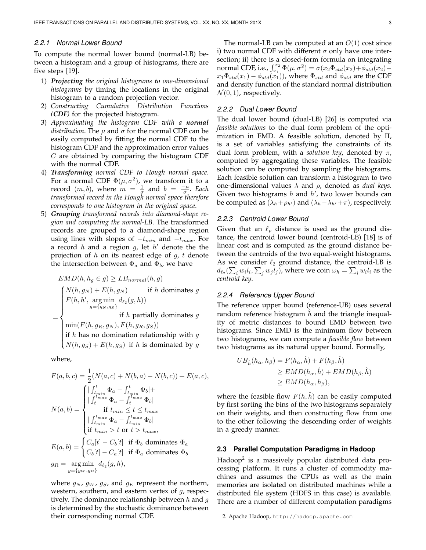#### *2.2.1 Normal Lower Bound*

To compute the normal lower bound (normal-LB) between a histogram and a group of histograms, there are five steps [19].

- 1) *Projecting the original histograms to one-dimensional histograms* by timing the locations in the original histogram to a random projection vector.
- 2) *Constructing Cumulative Distribution Functions (CDF)* for the projected histogram.
- 3) *Approximating the histogram CDF with a normal distribution*. The  $\mu$  and  $\sigma$  for the normal CDF can be easily computed by fitting the normal CDF to the histogram CDF and the approximation error values *C* are obtained by comparing the histogram CDF with the normal CDF.
- 4) *Transforming normal CDF to Hough normal space*. For a normal CDF  $\Phi(\mu, \sigma^2)$ , we transform it to a record  $(m, b)$ , where  $m = \frac{1}{\sigma}$  and  $b = \frac{-\mu}{\sigma}$ . *Each transformed record in the Hough normal space therefore corresponds to one histogram in the original space*.
- 5) *Grouping transformed records into diamond-shape region and computing the normal-LB*. The transformed records are grouped to a diamond-shape region using lines with slopes of *−tmin* and *−tmax*. For a record *h* and a region *g*, let *h ′* denote the the projection of *h* on its nearest edge of *g*, *t* denote the intersection between  $\Phi_a$  and  $\Phi_b$ , we have

$$
EMD(h, h_g \in g) \geq LB_{normal}(h, g)
$$
\n
$$
= \begin{cases}\nN(h, g_N) + E(h, g_N) & \text{if } h \text{ dominates } g \\
F(h, h', \text{ arg min } d_{\ell_2}(g, h)) \\
\downarrow g = \{g_N, g_S\} & \text{if } h \text{ partially dominates } g \\
\min(F(h, g_R, g_N), F(h, g_R, g_S)) \\
\text{if } h \text{ has no domination relationship with } g \\
N(h, g_S) + E(h, g_S) & \text{if } h \text{ is dominated by } g\n\end{cases}
$$

where,

$$
F(a, b, c) = \frac{1}{2}(N(a, c) + N(b, a) - N(b, c)) + E(a, c),
$$
  

$$
N(a, b) = \begin{cases} \n|\int_{t_{min}}^{t} \Phi_a - \int_{t_{min}}^{t} \Phi_b|+\\ \n|\int_{t_{min}}^{t_{max}} \Phi_a - \int_{t_{min}}^{t_{max}} \Phi_b| \n\end{cases}
$$
  

$$
N(a, b) = \begin{cases} \n\int_{t_{min}}^{t_{max}} \Phi_a - \int_{t_{min}}^{t_{max}} \Phi_b|\\ \n|\int_{t_{min}}^{t_{max}} \Phi_a - \int_{t_{min}}^{t_{max}} \Phi_b| \n\end{cases}
$$
  

$$
E(a, b) = \begin{cases} C_a[t] - C_b[t] & \text{if } \Phi_b \text{ dominates } \Phi_a\\ C_b[t] - C_a[t] & \text{if } \Phi_a \text{ dominates } \Phi_b \n\end{cases}
$$
  

$$
g_R = \underset{g = \{gw, g_E\}}{\text{arg min }} d_{\ell_2}(g, h),
$$

where  $g_N$ ,  $g_W$ ,  $g_S$ , and  $g_E$  represent the northern, western, southern, and eastern vertex of *g*, respectively. The dominance relationship between *h* and *g* is determined by the stochastic dominance between their corresponding normal CDF.

The normal-LB can be computed at an *O*(1) cost since i) two normal CDF with different  $\sigma$  only have one intersection; ii) there is a closed-form formula on integrating  $\text{normal } \text{CDF, i.e., } \int_{x_1}^{x_2} \Phi(\mu, \sigma^2) = \sigma(x_2 \Phi_{std}(x_2) + \phi_{std}(x_2)$  $x_1 \Phi_{std}(x_1) - \phi_{std}(x_1)$ , where  $\Phi_{std}$  and  $\phi_{std}$  are the CDF and density function of the standard normal distribution  $\mathcal{N}(0,1)$ , respectively.

# *2.2.2 Dual Lower Bound*

The dual lower bound (dual-LB) [26] is computed via *feasible solutions* to the dual form problem of the optimization in EMD. A feasible solution, denoted by Π, is a set of variables satisfying the constraints of its dual form problem, with a *solution key*, denoted by *π*, computed by aggregating these variables. The feasible solution can be computed by sampling the histograms. Each feasible solution can transform a histogram to two one-dimensional values *λ* and *ρ*, denoted as *dual keys*. Given two histograms *h* and *h ′* , two lower bounds can be computed as  $(\lambda_h + \rho_{h'})$  and  $(\lambda_h - \lambda_{h'} + \pi)$ , respectively.

# *2.2.3 Centroid Lower Bound*

Given that an  $\ell_p$  distance is used as the ground distance, the centroid lower bound (centroid-LB) [18] is of linear cost and is computed as the ground distance between the centroids of the two equal-weight histograms. As we consider *ℓ*<sup>2</sup> ground distance, the centroid-LB is  $d_{\ell_2}(\sum_i w_i l_i, \sum_j w_j l_j)$ , where we coin  $\omega_h = \sum_i w_i l_i$  as the *centroid key*.

# *2.2.4 Reference Upper Bound*

The reference upper bound (reference-UB) uses several random reference histogram *h* and the triangle inequality of metric distances to bound EMD between two histograms. Since EMD is the minimum flow between two histograms, we can compute a *feasible flow* between two histograms as its natural upper bound. Formally,

$$
UB_{\hat{h}}(h_{\alpha}, h_{\beta}) = F(h_{\alpha}, \hat{h}) + F(h_{\beta}, \hat{h})
$$
  
\n
$$
\geq EMD(h_{\alpha}, \hat{h}) + EMD(h_{\beta}, \hat{h})
$$
  
\n
$$
\geq EMD(h_{\alpha}, h_{\beta}),
$$

where the feasible flow  $F(h, \hat{h})$  can be easily computed by first sorting the bins of the two histograms separately on their weights, and then constructing flow from one to the other following the descending order of weights in a greedy manner.

#### **2.3 Parallel Computation Paradigms in Hadoop**

Hadoop<sup>2</sup> is a massively popular distributed data processing platform. It runs a cluster of commodity machines and assumes the CPUs as well as the main memories are isolated on distributed machines while a distributed file system (HDFS in this case) is available. There are a number of different computation paradigms

<sup>2.</sup> Apache Hadoop, http://hadoop.apache.com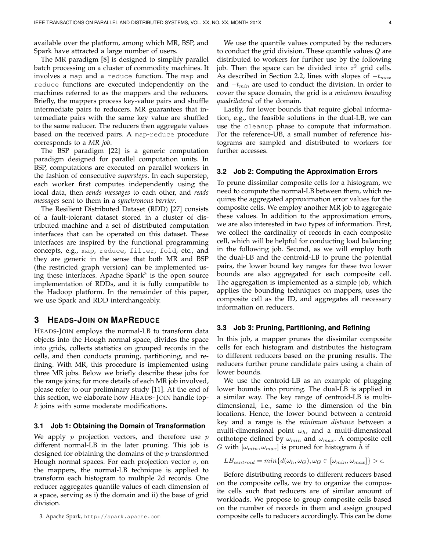available over the platform, among which MR, BSP, and Spark have attracted a large number of users.

The MR paradigm [8] is designed to simplify parallel batch processing on a cluster of commodity machines. It involves a map and a reduce function. The map and reduce functions are executed independently on the machines referred to as the mappers and the reducers. Briefly, the mappers process key-value pairs and shuffle intermediate pairs to reducers. MR guarantees that intermediate pairs with the same key value are shuffled to the same reducer. The reducers then aggregate values based on the received pairs. A map-reduce procedure corresponds to a *MR job*.

The BSP paradigm [22] is a generic computation paradigm designed for parallel computation units. In BSP, computations are executed on parallel workers in the fashion of consecutive *supersteps*. In each superstep, each worker first computes independently using the local data, then *sends messages* to each other, and *reads messages* sent to them in a *synchronous barrier*.

The Resilient Distributed Dataset (RDD) [27] consists of a fault-tolerant dataset stored in a cluster of distributed machine and a set of distributed computation interfaces that can be operated on this dataset. These interfaces are inspired by the functional programming concepts, e.g., map, reduce, filter, fold, etc., and they are generic in the sense that both MR and BSP (the restricted graph version) can be implemented using these interfaces. Apache Spark<sup>3</sup> is the open source implementation of RDDs, and it is fully compatible to the Hadoop platform. In the remainder of this paper, we use Spark and RDD interchangeably.

# **3 HEADS-JOIN ON MAPREDUCE**

HEADS-JOIN employs the normal-LB to transform data objects into the Hough normal space, divides the space into grids, collects statistics on grouped records in the cells, and then conducts pruning, partitioning, and refining. With MR, this procedure is implemented using three MR jobs. Below we briefly describe these jobs for the range joins; for more details of each MR job involved, please refer to our preliminary study [11]. At the end of this section, we elaborate how HEADS- JOIN handle top*k* joins with some moderate modifications.

#### **3.1 Job 1: Obtaining the Domain of Transformation**

We apply *p* projection vectors, and therefore use *p* different normal-LB in the later pruning. This job is designed for obtaining the domains of the *p* transformed Hough normal spaces. For each projection vector *v*, on the mappers, the normal-LB technique is applied to transform each histogram to multiple 2d records. One reducer aggregates quantile values of each dimension of a space, serving as i) the domain and ii) the base of grid division.

3. Apache Spark, http://spark.apache.com

We use the quantile values computed by the reducers to conduct the grid division. These quantile values *Q* are distributed to workers for further use by the following job. Then the space can be divided into *z* <sup>2</sup> grid cells. As described in Section 2.2, lines with slopes of *−tmax* and *−tmin* are used to conduct the division. In order to cover the space domain, the grid is a *minimum bounding quadrilateral* of the domain.

Lastly, for lower bounds that require global information, e.g., the feasible solutions in the dual-LB, we can use the cleanup phase to compute that information. For the reference-UB, a small number of reference histograms are sampled and distributed to workers for further accesses.

# **3.2 Job 2: Computing the Approximation Errors**

To prune dissimilar composite cells for a histogram, we need to compute the normal-LB between them, which requires the aggregated approximation error values for the composite cells. We employ another MR job to aggregate these values. In addition to the approximation errors, we are also interested in two types of information. First, we collect the cardinality of records in each composite cell, which will be helpful for conducting load balancing in the following job. Second, as we will employ both the dual-LB and the centroid-LB to prune the potential pairs, the lower bound key ranges for these two lower bounds are also aggregated for each composite cell. The aggregation is implemented as a simple job, which applies the bounding techniques on mappers, uses the composite cell as the ID, and aggregates all necessary information on reducers.

# **3.3 Job 3: Pruning, Partitioning, and Refining**

In this job, a mapper prunes the dissimilar composite cells for each histogram and distributes the histogram to different reducers based on the pruning results. The reducers further prune candidate pairs using a chain of lower bounds.

We use the centroid-LB as an example of plugging lower bounds into pruning. The dual-LB is applied in a similar way. The key range of centroid-LB is multidimensional, i.e., same to the dimension of the bin locations. Hence, the lower bound between a centroid key and a range is the *minimum distance* between a multi-dimensional point *ωh*, and a multi-dimensional orthotope defined by *ωmin* and *ωmax*. A composite cell *G* with [*ωmin, ωmax*] is pruned for histogram *h* if

$$
LB_{centroid} = min\{d(\omega_h, \omega_G), \omega_G \in [\omega_{min}, \omega_{max}]\} > \epsilon.
$$

Before distributing records to different reducers based on the composite cells, we try to organize the composite cells such that reducers are of similar amount of workloads. We propose to group composite cells based on the number of records in them and assign grouped composite cells to reducers accordingly. This can be done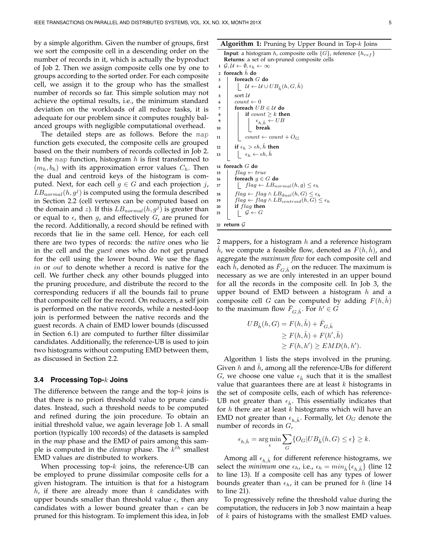by a simple algorithm. Given the number of groups, first we sort the composite cell in a descending order on the number of records in it, which is actually the byproduct of Job 2. Then we assign composite cells one by one to groups according to the sorted order. For each composite cell, we assign it to the group who has the smallest number of records so far. This simple solution may not achieve the optimal results, i.e., the minimum standard deviation on the workloads of all reduce tasks, it is adequate for our problem since it computes roughly balanced groups with negligible computational overhead.

The detailed steps are as follows. Before the map function gets executed, the composite cells are grouped based on the their numbers of records collected in Job 2. In the map function, histogram *h* is first transformed to  $(m_h, b_h)$  with its approximation error values  $C_h$ . Then the dual and centroid keys of the histogram is computed. Next, for each cell  $g \in G$  and each projection *j*,  $LB_{normal}(h, g<sup>j</sup>)$  is computed using the formula described in Section 2.2 (cell vertexes can be computed based on the domain and *z*). If this  $LB_{normal}(h, g^j)$  is greater than or equal to  $\epsilon$ , then  $g$ , and effectively  $G$ , are pruned for the record. Additionally, a record should be refined with records that lie in the same cell. Hence, for each cell there are two types of records: the *native* ones who lie in the cell and the *guest* ones who do not get pruned for the cell using the lower bound. We use the flags *in* or *out* to denote whether a record is native for the cell. We further check any other bounds plugged into the pruning procedure, and distribute the record to the corresponding reducers if all the bounds fail to prune that composite cell for the record. On reducers, a self join is performed on the native records, while a nested-loop join is performed between the native records and the guest records. A chain of EMD lower bounds (discussed in Section 6.1) are computed to further filter dissimilar candidates. Additionally, the reference-UB is used to join two histograms without computing EMD between them, as discussed in Section 2.2.

# **3.4 Processing Top-***k* **Joins**

The difference between the range and the top-*k* joins is that there is no priori threshold value to prune candidates. Instead, such a threshold needs to be computed and refined during the join procedure. To obtain an initial threshold value, we again leverage Job 1. A small portion (typically 100 records) of the datasets is sampled in the *map* phase and the EMD of pairs among this sample is computed in the *cleanup* phase. The *k th* smallest EMD values are distributed to workers.

When processing top-*k* joins, the reference-UB can be employed to prune dissimilar composite cells for a given histogram. The intuition is that for a histogram *h*, if there are already more than *k* candidates with upper bounds smaller than threshold value *ϵ*, then any candidates with a lower bound greater than  $\epsilon$  can be pruned for this histogram. To implement this idea, in Job

#### **Algorithm 1:** Pruning by Upper Bound in Top-*k* Joins

**Input**: a histogram *h*, composite cells *{G}*, reference *{href }* **Returns**: a set of un-pruned composite cells **1**  $\mathcal{G}, \mathcal{U} \leftarrow \emptyset, \epsilon_h \leftarrow \infty$ 

 **foreach** *h*ˆ **do foreach** *G* **do**  $\left\| \ \mathcal{U} \leftarrow \mathcal{U} \cup UB_{\hat{h}}(h, G, \hat{h}) \right\|$  $5 \mid \operatorname{sort} U$   $count \leftarrow 0$  **foreach** *UB ∈ U* **do if**  $count \geq k$  **then**   $\vert \cdot \vert$  **c**<sub>h,h</sub>̂  $\leftarrow$  *UB* **<sup>10</sup> break**  $\vert$  *count*  $\leftarrow$  *count* + *O<sub>G</sub>* **if**  $\epsilon_h > \epsilon h, h$  **then c**<sub>h</sub>  $\leftarrow \epsilon h, \hat{h}$  **foreach** *G* **do**  $\int flag \leftarrow true$  **foreach**  $g \in G$  **do**  $\vert$  *flag*  $\leftarrow$  *LB*<sub>normal</sub> $(h, g) \leq \epsilon_h$   $\left| \text{ flag } \leftarrow \text{flag} \land \text{LB}_{dual}(h, G) \leq \epsilon_h$  $\qquad$   $\qquad$   $flag \leftarrow flag \wedge LB_{centroid}(h, G) \leq \epsilon_h$  **if** *f lag* **then**  $\left| \right|$  **g**  $\left| \right|$  **G**  $\left| G \right|$ 

**<sup>22</sup> return** *G*

2 mappers, for a histogram *h* and a reference histogram *h*, we compute a feasible flow, denoted as  $F(h, h)$ , and aggregate the *maximum flow* for each composite cell and each  $\tilde{h}$ , denoted as  $\bar{F}_{G,\hat{h}}$  on the reducer. The maximum is necessary as we are only interested in an upper bound for all the records in the composite cell. In Job 3, the upper bound of EMD between a histogram *h* and a composite cell *G* can be computed by adding  $F(h, h)$ to the maximum flow  $\bar{F}_{G,\hat{h}}$ . For  $h' \in \hat{G}$ 

$$
UB_{\hat{h}}(h, G) = F(h, \hat{h}) + \bar{F}_{G, \hat{h}}
$$
  
\n
$$
\geq F(h, \hat{h}) + F(h', \hat{h})
$$
  
\n
$$
\geq F(h, h') \geq EMD(h, h').
$$

Algorithm 1 lists the steps involved in the pruning. Given *h* and *h*, among all the reference-UBs for different *G*, we choose one value  $\epsilon_{\hat{h}}$  such that it is the smallest value that guarantees there are at least *k* histograms in the set of composite cells, each of which has reference-UB not greater than  $\epsilon_{\hat{h}}$ . This essentially indicates that for *h* there are at least *k* histograms which will have an EMD not greater than  $\epsilon_{h,\hat{h}}$ . Formally, let  $O_G$  denote the number of records in *G*,

$$
\epsilon_{h,\hat{h}}=\argmin_{\epsilon}\sum_{G}\{O_{G}|UB_{\hat{h}}(h,G)\leq\epsilon\}\geq k.
$$

Among all  $\epsilon_{h,\hat{h}}$  for different reference histograms, we select the *minimum* one  $\epsilon_h$ , i.e.,  $\epsilon_h = min_{\hat{h}} {\{\epsilon_{h,\hat{h}}\}}$  (line 12 to line 13). If a composite cell has any types of lower bounds greater than  $\epsilon_h$ , it can be pruned for *h* (line 14 to line 21).

To progressively refine the threshold value during the computation, the reducers in Job 3 now maintain a heap of *k* pairs of histograms with the smallest EMD values.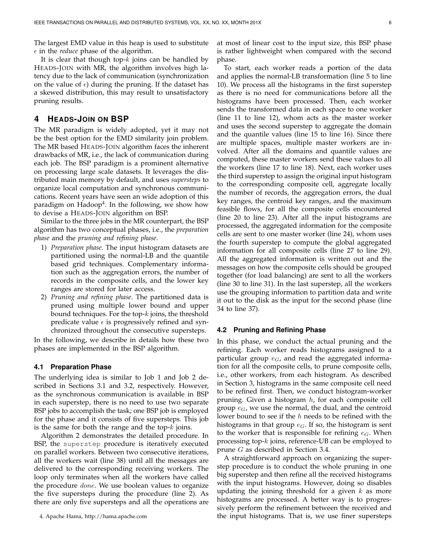The largest EMD value in this heap is used to substitute  $\epsilon$  in the *reduce* phase of the algorithm.

It is clear that though top-*k* joins can be handled by HEADS-JOIN with MR, the algorithm involves high latency due to the lack of communication (synchronization on the value of  $\epsilon$ ) during the pruning. If the dataset has a skewed distribution, this may result to unsatisfactory pruning results.

# **4 HEADS-JOIN ON BSP**

The MR paradigm is widely adopted, yet it may not be the best option for the EMD similarity join problem. The MR based HEADS-JOIN algorithm faces the inherent drawbacks of MR, i.e., the lack of communication during each job. The BSP paradigm is a prominent alternative on processing large scale datasets. It leverages the distributed main memory by default, and uses *supersteps* to organize local computation and synchronous communications. Recent years have seen an wide adoption of this paradigm on Hadoop<sup>4</sup>. In the following, we show how to devise a HEADS-JOIN algorithm on BSP.

Similar to the three jobs in the MR counterpart, the BSP algorithm has two conceptual phases, i.e., the *preparation phase* and the *pruning and refining phase*.

- 1) *Preparation phase*. The input histogram datasets are partitioned using the normal-LB and the quantile based grid techniques. Complementary information such as the aggregation errors, the number of records in the composite cells, and the lower key ranges are stored for later access.
- 2) *Pruning and refining phase*. The partitioned data is pruned using multiple lower bound and upper bound techniques. For the top-*k* joins, the threshold predicate value  $\epsilon$  is progressively refined and synchronized throughout the consecutive supersteps.

In the following, we describe in details how these two phases are implemented in the BSP algorithm.

## **4.1 Preparation Phase**

The underlying idea is similar to Job 1 and Job 2 described in Sections 3.1 and 3.2, respectively. However, as the synchronous communication is available in BSP in each superstep, there is no need to use two separate BSP jobs to accomplish the task; one BSP job is employed for the phase and it consists of five supersteps. This job is the same for both the range and the top-*k* joins.

Algorithm 2 demonstrates the detailed procedure. In BSP, the superstep procedure is iteratively executed on parallel workers. Between two consecutive iterations, all the workers wait (line 38) until all the messages are delivered to the corresponding receiving workers. The loop only terminates when all the workers have called the procedure *done*. We use boolean values to organize the five supersteps during the procedure (line 2). As there are only five supersteps and all the operations are

at most of linear cost to the input size, this BSP phase is rather lightweight when compared with the second phase.

To start, each worker reads a portion of the data and applies the normal-LB transformation (line 5 to line 10). We process all the histograms in the first superstep as there is no need for communications before all the histograms have been processed. Then, each worker sends the transformed data in each space to one worker (line 11 to line 12), whom acts as the master worker and uses the second superstep to aggregate the domain and the quantile values (line 15 to line 16). Since there are multiple spaces, multiple master workers are involved. After all the domains and quantile values are computed, these master workers send these values to all the workers (line 17 to line 18). Next, each worker uses the third superstep to assign the original input histogram to the corresponding composite cell, aggregate locally the number of records, the aggregation errors, the dual key ranges, the centroid key ranges, and the maximum feasible flows, for all the composite cells encountered (line 20 to line 23). After all the input histograms are processed, the aggregated information for the composite cells are sent to one master worker (line 24), whom uses the fourth superstep to compute the global aggregated information for all composite cells (line 27 to line 29). All the aggregated information is written out and the messages on how the composite cells should be grouped together (for load balancing) are sent to all the workers (line 30 to line 31). In the last superstep, all the workers use the grouping information to partition data and write it out to the disk as the input for the second phase (line 34 to line 37).

### **4.2 Pruning and Refining Phase**

In this phase, we conduct the actual pruning and the refining. Each worker reads histograms assigned to a particular group *eG*, and read the aggregated information for all the composite cells, to prune composite cells, i.e., other workers, from each histogram. As described in Section 3, histograms in the same composite cell need to be refined first. Then, we conduct histogram-worker pruning. Given a histogram *h*, for each composite cell group *eG*, we use the normal, the dual, and the centroid lower bound to see if the *h* needs to be refined with the histograms in that group *eG*. If so, the histogram is sent to the worker that is responsible for refining *eG*. When processing top-*k* joins, reference-UB can be employed to prune *G* as described in Section 3.4.

A straightforward approach on organizing the superstep procedure is to conduct the whole pruning in one big superstep and then refine all the received histograms with the input histograms. However, doing so disables updating the joining threshold for a given *k* as more histograms are processed. A better way is to progressively perform the refinement between the received and the input histograms. That is, we use finer supersteps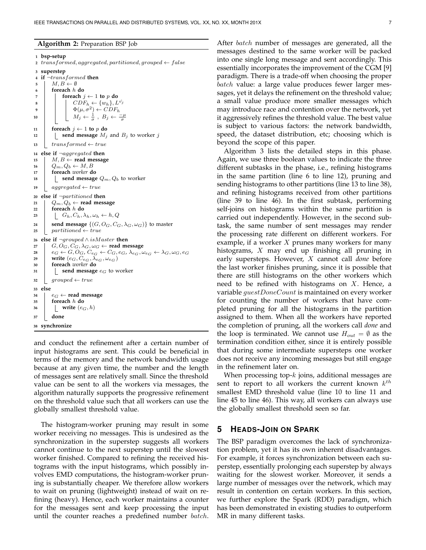#### **Algorithm 2:** Preparation BSP Job

```
1 bsp-setup
 2 transformed, aggregated, partitioned, grouped \leftarrow false
 3 superstep
 4 if ¬transf ormed then
 5 M, B \leftarrow \emptyset6 foreach h do
 7 \vert foreach j \leftarrow 1 to p do
 8 \vert \vert CDF_h \leftarrow \{w_h\}, L^{\hat{v_j}}\Phi(\mu,\sigma^2) \leftarrow CDF_h10 M_j \leftarrow \frac{1}{\sigma}, B_j \leftarrow \frac{-\mu}{\sigma}11 foreach j \leftarrow 1 to p do
12 \Box send message M_j and B_j to worker j
13 \downarrow transformed \leftarrow true
14 else if ¬aggregated then
15 M, B \leftarrow read message
16 Q_m, Q_b \leftarrow M, B<br>foreach worker d
         17 foreach worker do
18 send message Q_m, Q_b to worker
19 aggregated ← true
20 else if ¬partitioned then
21 Q_m, Q_b \leftarrow read message
22 foreach h do
23 d G_h, C_h, \lambda_h, \omega_h \leftarrow h, Q24 c send message \{(G, O_G, C_G, \lambda_G, \omega_G)\} to master
25 partitioned ← true
26 else if ¬grouped ∧ isMaster then
27 G, O<sub>G</sub>, C<sub>G</sub>, \lambda_G, \omega_G \leftarrow read message
28 e_G \leftarrow G, O_G, C_{e_G} \leftarrow C_G, e_G, \lambda_{e_G}, \omega_{e_G} \leftarrow \lambda_G, \omega_G, e_G<br>29 write (e_G, C_{e_G}, \lambda_{e_G}, \omega_{e_G})\textbf{write} (e_G, C_{e_G}, \widetilde{\lambda_{e_G}}, \omega_{e_G})30 foreach worker do
          31 send message eG to worker
32 grouped ← true
33 else
34 e_G \leftarrow read message
35 foreach h do
36 write (eG, h)
37 done
38 synchronize
```
and conduct the refinement after a certain number of input histograms are sent. This could be beneficial in terms of the memory and the network bandwidth usage because at any given time, the number and the length of messages sent are relatively small. Since the threshold value can be sent to all the workers via messages, the algorithm naturally supports the progressive refinement on the threshold value such that all workers can use the globally smallest threshold value.

The histogram-worker pruning may result in some worker receiving no messages. This is undesired as the synchronization in the superstep suggests all workers cannot continue to the next superstep until the slowest worker finished. Compared to refining the received histograms with the input histograms, which possibly involves EMD computations, the histogram-worker pruning is substantially cheaper. We therefore allow workers to wait on pruning (lightweight) instead of wait on refining (heavy). Hence, each worker maintains a counter for the messages sent and keep processing the input until the counter reaches a predefined number *batch*.

After *batch* number of messages are generated, all the messages destined to the same worker will be packed into one single long message and sent accordingly. This essentially incorporates the improvement of the CGM [9] paradigm. There is a trade-off when choosing the proper *batch* value: a large value produces fewer larger messages, yet it delays the refinement on the threshold value; a small value produce more smaller messages which may introduce race and contention over the network, yet it aggressively refines the threshold value. The best value is subject to various factors: the network bandwidth, speed, the dataset distribution, etc; choosing which is beyond the scope of this paper.

Algorithm 3 lists the detailed steps in this phase. Again, we use three boolean values to indicate the three different subtasks in the phase, i.e., refining histograms in the same partition (line 6 to line 12), pruning and sending histograms to other partitions (line 13 to line 38), and refining histograms received from other partitions (line 39 to line 46). In the first subtask, performing self-joins on histograms within the same partition is carried out independently. However, in the second subtask, the same number of sent messages may render the processing rate different on different workers. For example, if a worker *X* prunes many workers for many histograms, *X* may end up finishing all pruning in early supersteps. However, *X* cannot call *done* before the last worker finishes pruning, since it is possible that there are still histograms on the other workers which need to be refined with histograms on *X*. Hence, a variable *guestDoneCount* is maintained on every worker for counting the number of workers that have completed pruning for all the histograms in the partition assigned to them. When all the workers have reported the completion of pruning, all the workers call *done* and the loop is terminated. We cannot use  $H_{out} = \emptyset$  as the termination condition either, since it is entirely possible that during some intermediate supersteps one worker does not receive any incoming messages but still engage in the refinement later on.

When processing top-*k* joins, additional messages are sent to report to all workers the current known *k th* smallest EMD threshold value (line 10 to line 11 and line 45 to line 46). This way, all workers can always use the globally smallest threshold seen so far.

# **5 HEADS-JOIN ON SPARK**

The BSP paradigm overcomes the lack of synchronization problem, yet it has its own inherent disadvantages. For example, it forces synchronization between each superstep, essentially prolonging each superstep by always waiting for the slowest worker. Moreover, it sends a large number of messages over the network, which may result in contention on certain workers. In this section, we further explore the Spark (RDD) paradigm, which has been demonstrated in existing studies to outperform MR in many different tasks.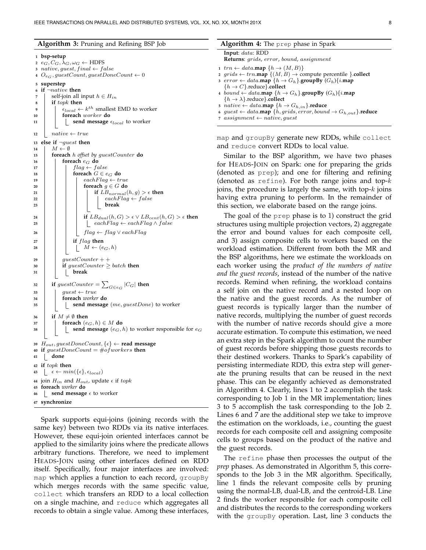

|    | 1 bsp-setup                                                            |
|----|------------------------------------------------------------------------|
|    | 2 $e_G, C_G, \lambda_G, \omega_G \leftarrow \text{HDFS}$               |
| 3  | native, guest, final $\leftarrow$ false                                |
| 4  | $O_{e_G}, guestCount, guestDoneCount \leftarrow 0$                     |
|    |                                                                        |
| 5  | superstep                                                              |
| 6  | if $\neg native$ then                                                  |
| 7  | self-join all input $h \in H_{in}$                                     |
| 8  | if $topk$ then                                                         |
| 9  | $\epsilon_{local} \leftarrow k^{th}$ smallest EMD to worker            |
| 10 | foreach worker do                                                      |
| 11 | send message $\epsilon_{local}$ to worker                              |
|    |                                                                        |
| 12 | $\mathit{native} \leftarrow \mathit{true}$                             |
|    | else if $\neg quest$ then                                              |
| 13 | $M \leftarrow \emptyset$                                               |
| 14 |                                                                        |
| 15 | <b>foreach</b> h offset by guestCounter <b>do</b>                      |
| 16 | foreach $e_G$ do                                                       |
| 17 | $flag \leftarrow false$                                                |
| 18 | foreach $G \in e_G$ do                                                 |
| 19 | $eachFlag \leftarrow true$                                             |
| 20 | foreach $g \in G$ do                                                   |
| 21 | if $LB_{normal}(h, g) > \epsilon$ then                                 |
| 22 | $eachFlag \leftarrow false$                                            |
| 23 | break                                                                  |
|    |                                                                        |
| 24 | if $LB_{dual}(h, G) > \epsilon \vee LB_{cent}(h, G) > \epsilon$ then   |
| 25 | $eachFlag \leftarrow eachFlag \wedge false$                            |
| 26 | $flag \leftarrow flag \vee eachFlag$                                   |
|    |                                                                        |
| 27 | if <i>flag</i> then                                                    |
| 28 | $M \leftarrow (e_G, h)$                                                |
| 29 |                                                                        |
|    | $questCounter + +$                                                     |
| 30 | if guestCounter $\geq$ batch then                                      |
| 31 | break                                                                  |
|    |                                                                        |
| 32 | if guestCounter = $\sum_{G \in e_G}  C_G $ then                        |
| 33 | $quest \leftarrow true$                                                |
| 34 | foreach <i>worker</i> do                                               |
| 35 | send message (me, guest Done) to worker                                |
|    |                                                                        |
| 36 | if $M \neq \emptyset$ then                                             |
| 37 | foreach $(e_G, h) \in M$ do                                            |
| 38 | send message $(e_G, h)$ to worker responsible for $e_G$                |
|    |                                                                        |
| 39 | $H_{out}, guestDoneCount, \{\epsilon\} \leftarrow \text{read message}$ |
| 40 | if guestDoneCount = $\#of workers$ then                                |
| 41 | done                                                                   |
|    |                                                                        |
|    | 42 if $topk$ then                                                      |
| 43 | $\epsilon \leftarrow min(\{\epsilon\}, \epsilon_{local})$              |
|    | 44 join $H_{in}$ and $H_{out}$ , update $\epsilon$ if topk             |
| 45 | foreach <i>worker</i> do                                               |
| 46 | <b>send message</b> $\epsilon$ to worker                               |
|    |                                                                        |
| 47 | synchronize                                                            |

Spark supports equi-joins (joining records with the same key) between two RDDs via its native interfaces. However, these equi-join oriented interfaces cannot be applied to the similarity joins where the predicate allows arbitrary functions. Therefore, we need to implement HEADS-JOIN using other interfaces defined on RDD itself. Specifically, four major interfaces are involved: map which applies a function to each record, groupBy which merges records with the same specific value, collect which transfers an RDD to a local collection on a single machine, and reduce which aggregates all records to obtain a single value. Among these interfaces,

| <b>Algorithm 4:</b> The prep phase in Spark                                                        |  |  |  |  |  |  |  |  |
|----------------------------------------------------------------------------------------------------|--|--|--|--|--|--|--|--|
| Input: data: RDD                                                                                   |  |  |  |  |  |  |  |  |
| <b>Returns:</b> grids, error, bound, assignment                                                    |  |  |  |  |  |  |  |  |
| 1 $trn \leftarrow data.\mathbf{map} \{h \rightarrow (M, B)\}\$                                     |  |  |  |  |  |  |  |  |
| 2 <i>grids</i> $\leftarrow$ <i>trn.map</i> $\{(M, B) \rightarrow$ compute percentile $\}$ .collect |  |  |  |  |  |  |  |  |
| 3 error $\leftarrow$ data.map $\{h \rightarrow G_h\}$ .groupBy $(G_h)\{i$ .map                     |  |  |  |  |  |  |  |  |
| $\{h \to C\}$ reduce $\}$ collect                                                                  |  |  |  |  |  |  |  |  |
| 4 bound ← data.map $\{h \to G_h\}$ .groupBy $(G_h)\{i$ .map                                        |  |  |  |  |  |  |  |  |
| $\{h \to \lambda\}$ reduce } collect                                                               |  |  |  |  |  |  |  |  |
| 5 native $\leftarrow$ data.map $\{h \rightarrow G_{h,in}\}$ .reduce                                |  |  |  |  |  |  |  |  |
| 6 guest $\leftarrow$ data.map {h, grids, error, bound $\rightarrow G_{h,out}$ }.reduce             |  |  |  |  |  |  |  |  |
| 7 $assignment \leftarrow native, guest$                                                            |  |  |  |  |  |  |  |  |
|                                                                                                    |  |  |  |  |  |  |  |  |

map and groupBy generate new RDDs, while collect and reduce convert RDDs to local value.

Similar to the BSP algorithm, we have two phases for HEADS-JOIN on Spark: one for preparing the grids (denoted as prep); and one for filtering and refining (denoted as refine). For both range joins and top-*k* joins, the procedure is largely the same, with top-*k* joins having extra pruning to perform. In the remainder of this section, we elaborate based on the range joins.

The goal of the prep phase is to 1) construct the grid structures using multiple projection vectors, 2) aggregate the error and bound values for each composite cell, and 3) assign composite cells to workers based on the workload estimation. Different from both the MR and the BSP algorithms, here we estimate the workloads on each worker using the *product of the numbers of native and the guest records*, instead of the number of the native records. Remind when refining, the workload contains a self join on the native record and a nested loop on the native and the guest records. As the number of guest records is typically larger than the number of native records, multiplying the number of guest records with the number of native records should give a more accurate estimation. To compute this estimation, we need an extra step in the Spark algorithm to count the number of guest records before shipping those guests records to their destined workers. Thanks to Spark's capability of persisting intermediate RDD, this extra step will generate the pruning results that can be reused in the next phase. This can be elegantly achieved as demonstrated in Algorithm 4. Clearly, lines 1 to 2 accomplish the task corresponding to Job 1 in the MR implementation; lines 3 to 5 accomplish the task corresponding to the Job 2. Lines 6 and 7 are the additional step we take to improve the estimation on the workloads, i.e., counting the guest records for each composite cell and assigning composite cells to groups based on the product of the native and the guest records.

The refine phase then processes the output of the *prep* phases. As demonstrated in Algorithm 5, this corresponds to the Job 3 in the MR algorithm. Specifically, line 1 finds the relevant composite cells by pruning using the normal-LB, dual-LB, and the centroid-LB. Line 2 finds the worker responsible for each composite cell and distributes the records to the corresponding workers with the groupBy operation. Last, line 3 conducts the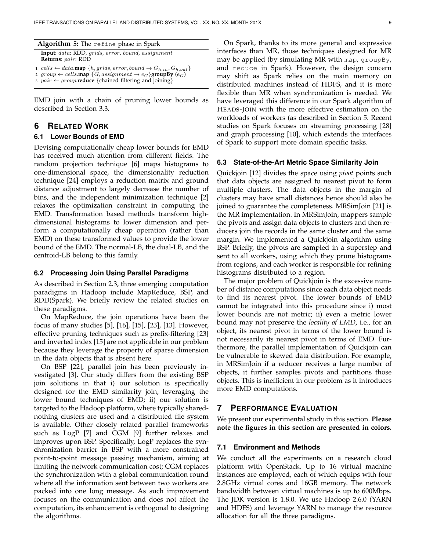| <b>Algorithm 5:</b> The refine phase in Spark |  |  |  |  |  |  |
|-----------------------------------------------|--|--|--|--|--|--|
|-----------------------------------------------|--|--|--|--|--|--|

**Input**: *data*: RDD, *grids*, *error*, *bound*, *assignment* **Returns**: *pair*: RDD

```
1 cells ← data.map {h, grids, error, bound → Gh,in, Gh,out}
```
**2**  $group \leftarrow cells.\textbf{map} \{G, assignment \rightarrow e_G\}$ **groupBy** ( $e_G$ ) **<sup>3</sup>** *pair ← group*.**reduce** *{*chained filtering and joining*}*

EMD join with a chain of pruning lower bounds as described in Section 3.3.

# **6 RELATED WORK**

#### **6.1 Lower Bounds of EMD**

Devising computationally cheap lower bounds for EMD has received much attention from different fields. The random projection technique [6] maps histograms to one-dimensional space, the dimensionality reduction technique [24] employs a reduction matrix and ground distance adjustment to largely decrease the number of bins, and the independent minimization technique [2] relaxes the optimization constraint in computing the EMD. Transformation based methods transform highdimensional histograms to lower dimension and perform a computationally cheap operation (rather than EMD) on these transformed values to provide the lower bound of the EMD. The normal-LB, the dual-LB, and the centroid-LB belong to this family.

## **6.2 Processing Join Using Parallel Paradigms**

As described in Section 2.3, three emerging computation paradigms in Hadoop include MapReduce, BSP, and RDD(Spark). We briefly review the related studies on these paradigms.

On MapReduce, the join operations have been the focus of many studies [5], [16], [15], [23], [13]. However, effective pruning techniques such as prefix-filtering [23] and inverted index [15] are not applicable in our problem because they leverage the property of sparse dimension in the data objects that is absent here.

On BSP [22], parallel join has been previously investigated [3]. Our study differs from the existing BSP join solutions in that i) our solution is specifically designed for the EMD similarity join, leveraging the lower bound techniques of EMD; ii) our solution is targeted to the Hadoop platform, where typically sharednothing clusters are used and a distributed file system is available. Other closely related parallel frameworks such as LogP [7] and CGM [9] further relaxes and improves upon BSP. Specifically, LogP replaces the synchronization barrier in BSP with a more constrained point-to-point message passing mechanism, aiming at limiting the network communication cost; CGM replaces the synchronization with a global communication round where all the information sent between two workers are packed into one long message. As such improvement focuses on the communication and does not affect the computation, its enhancement is orthogonal to designing the algorithms.

On Spark, thanks to its more general and expressive interfaces than MR, those techniques designed for MR may be applied (by simulating MR with map, groupBy, and reduce in Spark). However, the design concern may shift as Spark relies on the main memory on distributed machines instead of HDFS, and it is more flexible than MR when synchronization is needed. We have leveraged this difference in our Spark algorithm of HEADS-JOIN with the more effective estimation on the workloads of workers (as described in Section 5. Recent studies on Spark focuses on streaming processing [28] and graph processing [10], which extends the interfaces of Spark to support more domain specific tasks.

#### **6.3 State-of-the-Art Metric Space Similarity Join**

Quickjoin [12] divides the space using *pivot* points such that data objects are assigned to nearest pivot to form multiple clusters. The data objects in the margin of clusters may have small distances hence should also be joined to guarantee the completeness. MRSimJoin [21] is the MR implementation. In MRSimJoin, mappers sample the pivots and assign data objects to clusters and then reducers join the records in the same cluster and the same margin. We implemented a Quickjoin algorithm using BSP. Briefly, the pivots are sampled in a superstep and sent to all workers, using which they prune histograms from regions, and each worker is responsible for refining histograms distributed to a region.

The major problem of Quickjoin is the excessive number of distance computations since each data object needs to find its nearest pivot. The lower bounds of EMD cannot be integrated into this procedure since i) most lower bounds are not metric; ii) even a metric lower bound may not preserve the *locality of EMD*, i.e., for an object, its nearest pivot in terms of the lower bound is not necessarily its nearest pivot in terms of EMD. Furthermore, the parallel implementation of Quickjoin can be vulnerable to skewed data distribution. For example, in MRSimJoin if a reducer receives a large number of objects, it further samples pivots and partitions those objects. This is inefficient in our problem as it introduces more EMD computations.

# **7 PERFORMANCE EVALUATION**

We present our experimental study in this section. **Please note the figures in this section are presented in colors.**

#### **7.1 Environment and Methods**

We conduct all the experiments on a research cloud platform with OpenStack. Up to 16 virtual machine instances are employed, each of which equips with four 2.8GHz virtual cores and 16GB memory. The network bandwidth between virtual machines is up to 600Mbps. The JDK version is 1.8.0. We use Hadoop 2.6.0 (YARN and HDFS) and leverage YARN to manage the resource allocation for all the three paradigms.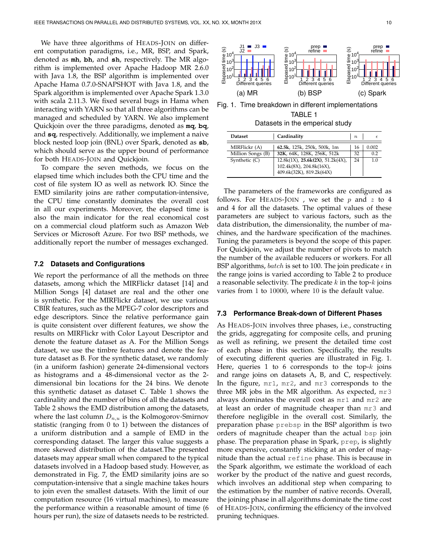We have three algorithms of HEADS-JOIN on different computation paradigms, i.e., MR, BSP, and Spark, denoted as **mh**, **bh**, and **sh**, respectively. The MR algorithm is implemented over Apache Hadoop MR 2.6.0 with Java 1.8, the BSP algorithm is implemented over Apache Hama 0.7.0-SNAPSHOT with Java 1.8, and the Spark algorithm is implemented over Apache Spark 1.3.0 with scala 2.11.3. We fixed several bugs in Hama when interacting with YARN so that all three algorithms can be managed and scheduled by YARN. We also implement Quickjoin over the three paradigms, denoted as **mq**, **bq**, and **sq**, respectively. Additionally, we implement a naive block nested loop join (BNL) over Spark, denoted as **sb**, which should serve as the upper bound of performance for both HEADS-JOIN and Quickjoin.

To compare the seven methods, we focus on the elapsed time which includes both the CPU time and the cost of file system IO as well as network IO. Since the EMD similarity joins are rather computation-intensive, the CPU time constantly dominates the overall cost in all our experiments. Moreover, the elapsed time is also the main indicator for the real economical cost on a commercial cloud platform such as Amazon Web Services or Microsoft Azure. For two BSP methods, we additionally report the number of messages exchanged.

#### **7.2 Datasets and Configurations**

We report the performance of all the methods on three datasets, among which the MIRFlickr dataset [14] and Million Songs [4] dataset are real and the other one is synthetic. For the MIRFlickr dataset, we use various CBIR features, such as the MPEG-7 color descriptors and edge descriptors. Since the relative performance gain is quite consistent over different features, we show the results on MIRFlickr with Color Layout Descriptor and denote the feature dataset as A. For the Million Songs dataset, we use the timbre features and denote the feature dataset as B. For the synthetic dataset, we randomly (in a uniform fashion) generate 24-dimensional vectors as histograms and a 48-dimensional vector as the 2 dimensional bin locations for the 24 bins. We denote this synthetic dataset as dataset C. Table 1 shows the cardinality and the number of bins of all the datasets and Table 2 shows the EMD distribution among the datasets, where the last column  $D_{n,u}$  is the Kolmogorov-Smirnov statistic (ranging from 0 to 1) between the distances of a uniform distribution and a sample of EMD in the corresponding dataset. The larger this value suggests a more skewed distribution of the dataset.The presented datasets may appear small when compared to the typical datasets involved in a Hadoop based study. However, as demonstrated in Fig. 7, the EMD similarity joins are so computation-intensive that a single machine takes hours to join even the smallest datasets. With the limit of our computation resource (16 virtual machines), to measure the performance within a reasonable amount of time (6 with Java 1.8, the BSP algorithm is implemented over  $\frac{1}{2}$  for the size of datasets near particular is implemented over Apache Spark algorithm is implemented over Apache Spark 1.30<br>with scale 2.11.3. We fixed several



Fig. 1. Time breakdown in different implementations

TABLE 1 Datasets in the emperical study

| <b>Dataset</b>    | Cardinality                                                                              | $\boldsymbol{n}$ |                |
|-------------------|------------------------------------------------------------------------------------------|------------------|----------------|
| MIRFlickr (A)     | 62.5k, 125k, 250k, 500k, 1m                                                              | 16               | 0.002          |
| Million Songs (B) | 32K, 64K, 128K, 256K, 512k                                                               | 32               | 0.2            |
| Synthetic $(C)$   | 12.8k(1X), 25.6k(2X), 51.2k(4X),<br>102.4k(8X), 204.8k(16X),<br>409.6k(32K), 819.2k(64X) | 24               | 1 <sub>0</sub> |

The parameters of the frameworks are configured as follows. For HEADS-JOIN , we set the *p* and *z* to 4 and 4 for all the datasets. The optimal values of these parameters are subject to various factors, such as the data distribution, the dimensionality, the number of machines, and the hardware specification of the machines. Tuning the parameters is beyond the scope of this paper. For Quickjoin, we adjust the number of pivots to match the number of the available reducers or workers. For all BSP algorithms, *batch* is set to 100. The join predicate  $\epsilon$  in the range joins is varied according to Table 2 to produce a reasonable selectivity. The predicate *k* in the top-*k* joins varies from 1 to 10000, where 10 is the default value.

# **7.3 Performance Break-down of Different Phases**

As HEADS-JOIN involves three phases, i.e., constructing the grids, aggregating for composite cells, and pruning as well as refining, we present the detailed time cost of each phase in this section. Specifically, the results of executing different queries are illustrated in Fig. 1. Here, queries 1 to 6 corresponds to the top-*k* joins and range joins on datasets A, B, and C, respectively. In the figure, mr1, mr2, and mr3 corresponds to the three MR jobs in the MR algorithm. As expected, mr3 always dominates the overall cost as mr1 and mr2 are at least an order of magnitude cheaper than mr3 and therefore negligible in the overall cost. Similarly, the preparation phase prebsp in the BSP algorithm is two orders of magnitude cheaper than the actual bsp join phase. The preparation phase in Spark, prep, is slightly more expensive, constantly sticking at an order of magnitude than the actual refine phase. This is because in the Spark algorithm, we estimate the workload of each worker by the product of the native and guest records, which involves an additional step when comparing to the estimation by the number of native records. Overall, the joining phase in all algorithms dominate the time cost of HEADS-JOIN, confirming the efficiency of the involved pruning techniques.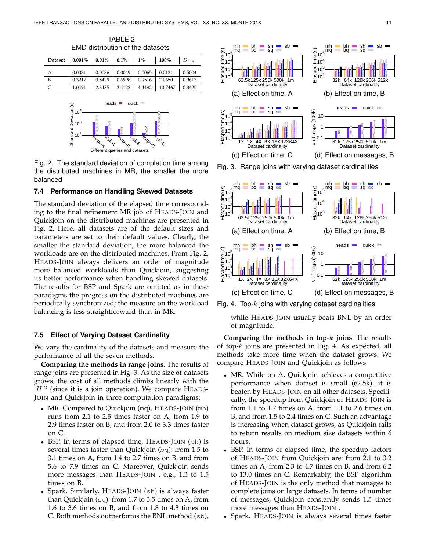| <b>EMD distribution of the datasets</b>                                                                                                                                                         |        |        |        |        |         |           |  |  |
|-------------------------------------------------------------------------------------------------------------------------------------------------------------------------------------------------|--------|--------|--------|--------|---------|-----------|--|--|
| <b>Dataset</b>                                                                                                                                                                                  | 0.001% | 0.01%  | 0.1%   | $1\%$  | 100%    | $D_{n,u}$ |  |  |
| A                                                                                                                                                                                               | 0.0031 | 0.0036 | 0.0049 | 0.0065 | 0.0121  | 0.5004    |  |  |
| B                                                                                                                                                                                               | 0.3217 | 0.5429 | 0.6998 | 0.9516 | 2.0650  | 0.9613    |  |  |
| C                                                                                                                                                                                               | 1.0491 | 2.3485 | 3.4123 | 4.4482 | 10.7467 | 0.3425    |  |  |
| quick &<br>heads $\blacksquare$<br>Standard Deviation (s)<br>$10^4$<br>10 <sup>3</sup><br>$10^{2}$<br><sup>O-y</sup> RO <sup>O-80</sup> Ke, <sup>8-y</sup> RO <sup>8-yRO</sup> <sup>8-yRO</sup> |        |        |        |        |         |           |  |  |

TABLE<sub>2</sub>

Fig. 2. The standard deviation of completion time among the distributed machines in MR, the smaller the more balanced

Different queries and datasets

range-B tok-B

# **7.4 Performance on Handling Skewed Datasets**

The standard deviation of the elapsed time corresponding to the final refinement MR job of HEADS-JOIN and Quickjoin on the distributed machines are presented in Fig. 2. Here, all datasets are of the default sizes and parameters are set to their default values. Clearly, the smaller the standard deviation, the more balanced the workloads are on the distributed machines. From Fig. 2, HEADS-JOIN always delivers an order of magnitude more balanced workloads than Quickjoin, suggesting its better performance when handling skewed datasets. The results for BSP and Spark are omitted as in these paradigms the progress on the distributed machines are periodically synchronized; the measure on the workload balancing is less straightforward than in MR. **E.** The start of the start of the start of the start of the start of the start of the BNL method (sb), 102. The standard deviation of completion time among  $\frac{2}{3}$  in  $\frac{6}{3}$  in  $\frac{6}{3}$  in  $\frac{6}{3}$  in  $\frac{6}{3}$  in

# **7.5 Effect of Varying Dataset Cardinality**

We vary the cardinality of the datasets and measure the performance of all the seven methods.

**Comparing the methods in range joins**. The results of range joins are presented in Fig. 3. As the size of datasets grows, the cost of all methods climbs linearly with the  $|H|^2$  (since it is a join operation). We compare HEADS-JOIN and Quickjoin in three computation paradigms:

- MR. Compared to Quickjoin (mq), HEADS-JOIN (mh) runs from 2.1 to 2.5 times faster on A, from 1.9 to 2.9 times faster on B, and from 2.0 to 3.3 times faster on C.
- *•* BSP. In terms of elapsed time, HEADS-JOIN (bh) is several times faster than Quickjoin (bq): from 1.5 to 3.1 times on A, from 1.4 to 2.7 times on B, and from 5.6 to 7.9 times on C. Moreover, Quickjoin sends more messages than HEADS-JOIN , e.g., 1.3 to 1.5 times on B.
- *•* Spark. Similarly, HEADS-JOIN (sh) is always faster than Quickjoin (sq): from 1.7 to 3.5 times on A, from 1.6 to 3.6 times on B, and from 1.8 to 4.3 times on



Fig. 3. Range joins with varying dataset cardinalities



Fig. 4. Top-*k* joins with varying dataset cardinalities

while HEADS-JOIN usually beats BNL by an order of magnitude.

**Comparing the methods in top-***k* **joins**. The results of top-*k* joins are presented in Fig. 4. As expected, all methods take more time when the dataset grows. We compare HEADS-JOIN and Quickjoin as follows:

- MR. While on A, Quickjoin achieves a competitive performance when dataset is small (62.5k), it is beaten by HEADS-JOIN on all other datasets. Specifically, the speedup from Quickjoin of HEADS-JOIN is from 1.1 to 1.7 times on A, from 1.1 to 2.6 times on B, and from 1.5 to 2.4 times on C. Such an advantage is increasing when dataset grows, as Quickjoin fails to return results on medium size datasets within 6 hours.
- *•* BSP. In terms of elapsed time, the speedup factors of HEADS-JOIN from Quickjoin are: from 2.1 to 3.2 times on A, from 2.3 to 4.7 times on B, and from 6.2 to 13.0 times on C. Remarkably, the BSP algorithm of HEADS-JOIN is the only method that manages to complete joins on large datasets. In terms of number of messages, Quickjoin constantly sends 1.5 times more messages than HEADS-JOIN .
- *•* Spark. HEADS-JOIN is always several times faster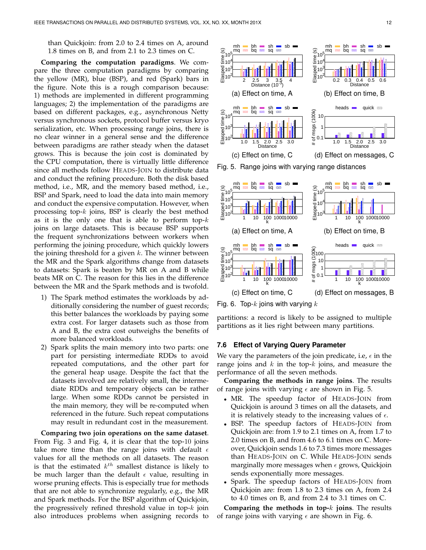than Quickjoin: from 2.0 to 2.4 times on A, around 1.8 times on B, and from 2.1 to 2.3 times on C.

**Comparing the computation paradigms**. We compare the three computation paradigms by comparing the yellow (MR), blue (BSP), and red (Spark) bars in the figure. Note this is a rough comparison because: 1) methods are implemented in different programming languages; 2) the implementation of the paradigms are based on different packages, e.g., asynchronous Netty versus synchronous sockets, protocol buffer versus kryo serialization, etc. When processing range joins, there is no clear winner in a general sense and the difference between paradigms are rather steady when the dataset grows. This is because the join cost is dominated by the CPU computation, there is virtually little difference since all methods follow HEADS-JOIN to distribute data and conduct the refining procedure. Both the disk based method, i.e., MR, and the memory based method, i.e., BSP and Spark, need to load the data into main memory and conduct the expensive computation. However, when processing top-*k* joins, BSP is clearly the best method as it is the only one that is able to perform top-*k* joins on large datasets. This is because BSP supports the frequent synchronizations between workers when performing the joining procedure, which quickly lowers the joining threshold for a given *k*. The winner between the MR and the Spark algorithms change from datasets to datasets: Spark is beaten by MR on A and B while beats MR on C. The reason for this lies in the difference between the MR and the Spark methods and is twofold. he yellow (MR) blue (RSP), and red (Spack) lans in<br>Figure 1020, the methods are inplanented in different programs<br>magnes 2). The implementation of the paralysing sample in<br>produces are implemented in different programsing

- 1) The Spark method estimates the workloads by additionally considering the number of guest records; this better balances the workloads by paying some extra cost. For larger datasets such as those from A and B, the extra cost outweighs the benefits of more balanced workloads.
- 2) Spark splits the main memory into two parts: one part for persisting intermediate RDDs to avoid repeated computations, and the other part for the general heap usage. Despite the fact that the datasets involved are relatively small, the intermediate RDDs and temporary objects can be rather large. When some RDDs cannot be persisted in the main memory, they will be re-computed when referenced in the future. Such repeat computations may result in redundant cost in the measurement.

**Comparing two join operations on the same dataset**. From Fig. 3 and Fig. 4, it is clear that the top-10 joins take more time than the range joins with default  $\epsilon$ values for all the methods on all datasets. The reason is that the estimated *k th* smallest distance is likely to be much larger than the default *ϵ* value, resulting in worse pruning effects. This is especially true for methods that are not able to synchronize regularly, e.g., the MR and Spark methods. For the BSP algorithm of Quickjoin, the progressively refined threshold value in top-*k* join



Fig. 5. Range joins with varying range distances



Fig. 6. Top-*k* joins with varying *k*

partitions: a record is likely to be assigned to multiple partitions as it lies right between many partitions.

# **7.6 Effect of Varying Query Parameter**

We vary the parameters of the join predicate, i.e,  $\epsilon$  in the range joins and *k* in the top-*k* joins, and measure the performance of all the seven methods.

**Comparing the methods in range joins**. The results of range joins with varying *ϵ* are shown in Fig. 5.

- *•* MR. The speedup factor of HEADS-JOIN from Quickjoin is around 3 times on all the datasets, and it is relatively steady to the increasing values of *ϵ*.
- *•* BSP. The speedup factors of HEADS-JOIN from Quickjoin are: from 1.9 to 2.1 times on A, from 1.7 to 2.0 times on B, and from 4.6 to 6.1 times on C. Moreover, Quickjoin sends 1.6 to 7.3 times more messages than HEADS-JOIN on C. While HEADS-JOIN sends marginally more messages when *ϵ* grows, Quickjoin sends exponentially more messages.
- *•* Spark. The speedup factors of HEADS-JOIN from Quickjoin are: from 1.8 to 2.3 times on A, from 2.4 to 4.0 times on B, and from 2.4 to 3.1 times on C.

**Comparing the methods in top-***k* **joins**. The results of range joins with varying  $\epsilon$  are shown in Fig. 6.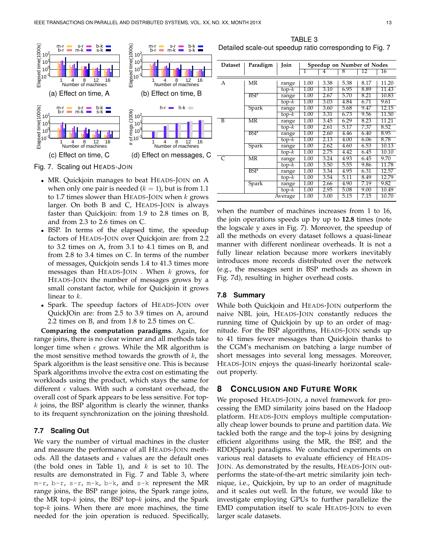

Fig. 7. Scaling out HEADS-JOIN

- *•* MR. Quickjoin manages to beat HEADS-JOIN on A when only one pair is needed  $(k = 1)$ , but is from 1.1 to 1.7 times slower than HEADS-JOIN when *k* grows larger. On both B and C, HEADS-JOIN is always faster than Quickjoin: from 1.9 to 2.8 times on B, and from 2.3 to 2.6 times on C.
- *•* BSP. In terms of the elapsed time, the speedup factors of HEADS-JOIN over Quickjoin are: from 2.2 to 3.2 times on A, from 3.1 to 4.1 times on B, and from 2.8 to 3.4 times on C. In terms of the number of messages, Quickjoin sends 1.4 to 41.3 times more messages than HEADS-JOIN . When *k* grows, for HEADS-JOIN the number of messages grows by a small constant factor, while for Quickjoin it grows linear to *k*.
- *•* Spark. The speedup factors of HEADS-JOIN over QuickJOin are: from 2.5 to 3.9 times on A, around 2.2 times on B, and from 1.8 to 2.5 times on C.

**Comparing the computation paradigms**. Again, for range joins, there is no clear winner and all methods take longer time when  $\epsilon$  grows. While the MR algorithm is the most sensitive method towards the growth of *k*, the Spark algorithm is the least sensitive one. This is because Spark algorithms involve the extra cost on estimating the workloads using the product, which stays the same for different *ϵ* values. With such a constant overhead, the overall cost of Spark appears to be less sensitive. For top*k* joins, the BSP algorithm is clearly the winner, thanks to its frequent synchronization on the joining threshold.

# **7.7 Scaling Out**

We vary the number of virtual machines in the cluster and measure the performance of all HEADS-JOIN methods. All the datasets and *ϵ* values are the default ones (the bold ones in Table 1), and *k* is set to 10. The results are demonstrated in Fig. 7 and Table 3, where m-r, b-r, s-r, m-k, b-k, and s-k represent the MR range joins, the BSP range joins, the Spark range joins, the MR top-*k* joins, the BSP top-*k* joins, and the Spark top-*k* joins. When there are more machines, the time needed for the join operation is reduced. Specifically,

TABLE 3 Detailed scale-out speedup ratio corresponding to Fig. 7

| <b>Dataset</b> | Paradigm               | Join     | Speedup on Number of Nodes |      |      |      |       |
|----------------|------------------------|----------|----------------------------|------|------|------|-------|
|                |                        |          | 1                          | 4    | 8    | 12   | 16    |
| A              | MR                     | range    | 1.00                       | 3.38 | 5.38 | 8.17 | 11.20 |
|                |                        | $top-k$  | 1.00                       | 3.10 | 6.95 | 8.89 | 11.43 |
|                | BSP                    | range    | 1.00                       | 2.67 | 5.70 | 8.21 | 10.83 |
|                |                        | top- $k$ | 1.00                       | 3.03 | 4.84 | 6.71 | 9.61  |
|                | Spark                  | range    | 1.00                       | 3.60 | 5.68 | 9.47 | 12.15 |
|                |                        | $top-k$  | 1.00                       | 3.31 | 6.73 | 9.56 | 11.50 |
| B              | $\overline{\text{MR}}$ | range    | 1.00                       | 3.45 | 6.29 | 8.23 | 11.21 |
|                |                        | top- $k$ | 1.00                       | 2.61 | 5.17 | 7.37 | 8.52  |
|                | <b>BSP</b>             | range    | 1.00                       | 2.60 | 4.46 | 6.40 | 8.95  |
|                |                        | top- $k$ | 1.00                       | 2.13 | 4.00 | 6.06 | 8.78  |
|                | Spark                  | range    | 1.00                       | 2.62 | 4.60 | 6.53 | 10.13 |
|                |                        | top- $k$ | 1.00                       | 2.75 | 4.42 | 6.45 | 10.10 |
| C              | $\overline{\text{MR}}$ | range    | 1.00                       | 3.24 | 4.93 | 6.45 | 9.70  |
|                |                        | $top-k$  | 1.00                       | 3.50 | 5.55 | 9.86 | 11.78 |
|                | $_{\rm{BSP}}$          | range    | 1.00                       | 3.34 | 4.95 | 6.31 | 12.57 |
|                |                        | top- $k$ | 1.00                       | 3.54 | 5.11 | 8.49 | 12.79 |
|                | Spark                  | range    | 1.00                       | 2.66 | 4.90 | 7.19 | 9.82  |
|                |                        | $top-k$  | 1.00                       | 2.95 | 5.08 | 9.00 | 10.49 |
|                |                        | Average  | 1.00                       | 3.00 | 5.15 | 7.15 | 10.70 |

when the number of machines increases from 1 to 16, the join operations speeds up by up to **12.8** times (note the logscale y axes in Fig. 7). Moreover, the speedup of all the methods on every dataset follows a quasi-linear manner with different nonlinear overheads. It is not a fully linear relation because more workers inevitably introduces more records distributed over the network (e.g., the messages sent in BSP methods as shown in Fig. 7d), resulting in higher overhead costs.

# **7.8 Summary**

While both Quickjoin and HEADS-JOIN outperform the naive NBL join, HEADS-JOIN constantly reduces the running time of Quickjoin by up to an order of magnitude. For the BSP algorithms, HEADS-JOIN sends up to 41 times fewer messages than Quickjoin thanks to the CGM's mechanism on batching a large number of short messages into several long messages. Moreover, HEADS-JOIN enjoys the quasi-linearly horizontal scaleout property.

# **8 CONCLUSION AND FUTURE WORK**

We proposed HEADS-JOIN, a novel framework for processing the EMD similarity joins based on the Hadoop platform. HEADS-JOIN employs multiple computationally cheap lower bounds to prune and partition data. We tackled both the range and the top-*k* joins by designing efficient algorithms using the MR, the BSP, and the RDD(Spark) paradigms. We conducted experiments on various real datasets to evaluate efficiency of HEADS-JOIN. As demonstrated by the results, HEADS-JOIN outperforms the state-of-the-art metric similarity join technique, i.e., Quickjoin, by up to an order of magnitude and it scales out well. In the future, we would like to investigate employing GPUs to further parallelize the EMD computation itself to scale HEADS-JOIN to even larger scale datasets.